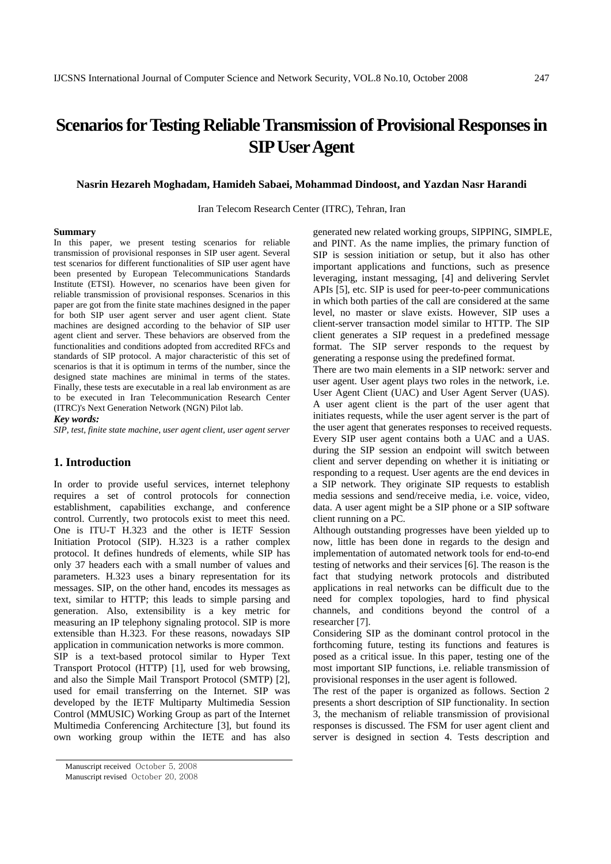# **Scenarios for Testing Reliable Transmission of Provisional Responses in SIP User Agent**

### **Nasrin Hezareh Moghadam, Hamideh Sabaei, Mohammad Dindoost, and Yazdan Nasr Harandi**

Iran Telecom Research Center (ITRC), Tehran, Iran

#### **Summary**

In this paper, we present testing scenarios for reliable transmission of provisional responses in SIP user agent. Several test scenarios for different functionalities of SIP user agent have been presented by European Telecommunications Standards Institute (ETSI). However, no scenarios have been given for reliable transmission of provisional responses. Scenarios in this paper are got from the finite state machines designed in the paper for both SIP user agent server and user agent client. State machines are designed according to the behavior of SIP user agent client and server. These behaviors are observed from the functionalities and conditions adopted from accredited RFCs and standards of SIP protocol. A major characteristic of this set of scenarios is that it is optimum in terms of the number, since the designed state machines are minimal in terms of the states. Finally, these tests are executable in a real lab environment as are to be executed in Iran Telecommunication Research Center (ITRC)'s Next Generation Network (NGN) Pilot lab.

*Key words:* 

*SIP, test, finite state machine, user agent client, user agent server* 

### **1. Introduction**

In order to provide useful services, internet telephony requires a set of control protocols for connection establishment, capabilities exchange, and conference control. Currently, two protocols exist to meet this need. One is ITU-T H.323 and the other is IETF Session Initiation Protocol (SIP). H.323 is a rather complex protocol. It defines hundreds of elements, while SIP has only 37 headers each with a small number of values and parameters. H.323 uses a binary representation for its messages. SIP, on the other hand, encodes its messages as text, similar to HTTP; this leads to simple parsing and generation. Also, extensibility is a key metric for measuring an IP telephony signaling protocol. SIP is more extensible than H.323. For these reasons, nowadays SIP application in communication networks is more common. SIP is a text-based protocol similar to Hyper Text

Transport Protocol (HTTP) [1], used for web browsing, and also the Simple Mail Transport Protocol (SMTP) [2], used for email transferring on the Internet. SIP was developed by the IETF Multiparty Multimedia Session Control (MMUSIC) Working Group as part of the Internet Multimedia Conferencing Architecture [3], but found its own working group within the IETE and has also generated new related working groups, SIPPING, SIMPLE, and PINT. As the name implies, the primary function of SIP is session initiation or setup, but it also has other important applications and functions, such as presence leveraging, instant messaging, [4] and delivering Servlet APIs [5], etc. SIP is used for peer-to-peer communications in which both parties of the call are considered at the same level, no master or slave exists. However, SIP uses a client-server transaction model similar to HTTP. The SIP client generates a SIP request in a predefined message format. The SIP server responds to the request by generating a response using the predefined format.

There are two main elements in a SIP network: server and user agent. User agent plays two roles in the network, i.e. User Agent Client (UAC) and User Agent Server (UAS). A user agent client is the part of the user agent that initiates requests, while the user agent server is the part of the user agent that generates responses to received requests. Every SIP user agent contains both a UAC and a UAS. during the SIP session an endpoint will switch between client and server depending on whether it is initiating or responding to a request. User agents are the end devices in a SIP network. They originate SIP requests to establish media sessions and send/receive media, i.e. voice, video, data. A user agent might be a SIP phone or a SIP software client running on a PC.

Although outstanding progresses have been yielded up to now, little has been done in regards to the design and implementation of automated network tools for end-to-end testing of networks and their services [6]. The reason is the fact that studying network protocols and distributed applications in real networks can be difficult due to the need for complex topologies, hard to find physical channels, and conditions beyond the control of a researcher [7].

Considering SIP as the dominant control protocol in the forthcoming future, testing its functions and features is posed as a critical issue. In this paper, testing one of the most important SIP functions, i.e. reliable transmission of provisional responses in the user agent is followed.

The rest of the paper is organized as follows. Section 2 presents a short description of SIP functionality. In section 3, the mechanism of reliable transmission of provisional responses is discussed. The FSM for user agent client and server is designed in section 4. Tests description and

Manuscript received October 5, 2008

Manuscript revised October 20, 2008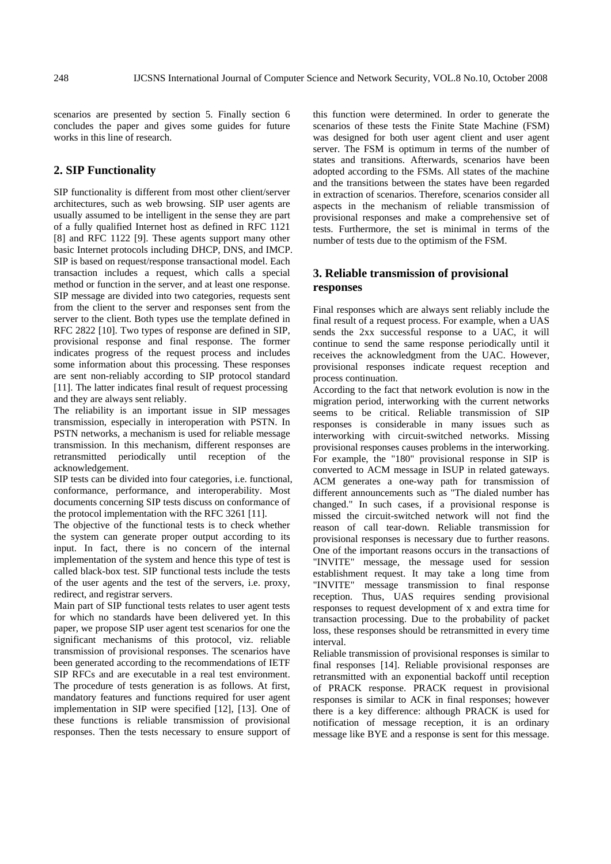scenarios are presented by section 5. Finally section 6 concludes the paper and gives some guides for future works in this line of research.

# **2. SIP Functionality**

SIP functionality is different from most other client/server architectures, such as web browsing. SIP user agents are usually assumed to be intelligent in the sense they are part of a fully qualified Internet host as defined in RFC 1121 [8] and RFC 1122 [9]. These agents support many other basic Internet protocols including DHCP, DNS, and IMCP. SIP is based on request/response transactional model. Each transaction includes a request, which calls a special method or function in the server, and at least one response. SIP message are divided into two categories, requests sent from the client to the server and responses sent from the server to the client. Both types use the template defined in RFC 2822 [10]. Two types of response are defined in SIP, provisional response and final response. The former indicates progress of the request process and includes some information about this processing. These responses are sent non-reliably according to SIP protocol standard [11]. The latter indicates final result of request processing and they are always sent reliably.

The reliability is an important issue in SIP messages transmission, especially in interoperation with PSTN. In PSTN networks, a mechanism is used for reliable message transmission. In this mechanism, different responses are retransmitted periodically until reception of the acknowledgement.

SIP tests can be divided into four categories, i.e. functional, conformance, performance, and interoperability. Most documents concerning SIP tests discuss on conformance of the protocol implementation with the RFC 3261 [11].

The objective of the functional tests is to check whether the system can generate proper output according to its input. In fact, there is no concern of the internal implementation of the system and hence this type of test is called black-box test. SIP functional tests include the tests of the user agents and the test of the servers, i.e. proxy, redirect, and registrar servers.

Main part of SIP functional tests relates to user agent tests for which no standards have been delivered yet. In this paper, we propose SIP user agent test scenarios for one the significant mechanisms of this protocol, viz. reliable transmission of provisional responses. The scenarios have been generated according to the recommendations of IETF SIP RFCs and are executable in a real test environment. The procedure of tests generation is as follows. At first, mandatory features and functions required for user agent implementation in SIP were specified [12], [13]. One of these functions is reliable transmission of provisional responses. Then the tests necessary to ensure support of this function were determined. In order to generate the scenarios of these tests the Finite State Machine (FSM) was designed for both user agent client and user agent server. The FSM is optimum in terms of the number of states and transitions. Afterwards, scenarios have been adopted according to the FSMs. All states of the machine and the transitions between the states have been regarded in extraction of scenarios. Therefore, scenarios consider all aspects in the mechanism of reliable transmission of provisional responses and make a comprehensive set of tests. Furthermore, the set is minimal in terms of the number of tests due to the optimism of the FSM.

# **3. Reliable transmission of provisional responses**

Final responses which are always sent reliably include the final result of a request process. For example, when a UAS sends the 2xx successful response to a UAC, it will continue to send the same response periodically until it receives the acknowledgment from the UAC. However, provisional responses indicate request reception and process continuation.

According to the fact that network evolution is now in the migration period, interworking with the current networks seems to be critical. Reliable transmission of SIP responses is considerable in many issues such as interworking with circuit-switched networks. Missing provisional responses causes problems in the interworking. For example, the "180" provisional response in SIP is converted to ACM message in ISUP in related gateways. ACM generates a one-way path for transmission of different announcements such as "The dialed number has changed." In such cases, if a provisional response is missed the circuit-switched network will not find the reason of call tear-down. Reliable transmission for provisional responses is necessary due to further reasons. One of the important reasons occurs in the transactions of "INVITE" message, the message used for session establishment request. It may take a long time from "INVITE" message transmission to final response reception. Thus, UAS requires sending provisional responses to request development of x and extra time for transaction processing. Due to the probability of packet loss, these responses should be retransmitted in every time interval.

Reliable transmission of provisional responses is similar to final responses [14]. Reliable provisional responses are retransmitted with an exponential backoff until reception of PRACK response. PRACK request in provisional responses is similar to ACK in final responses; however there is a key difference: although PRACK is used for notification of message reception, it is an ordinary message like BYE and a response is sent for this message.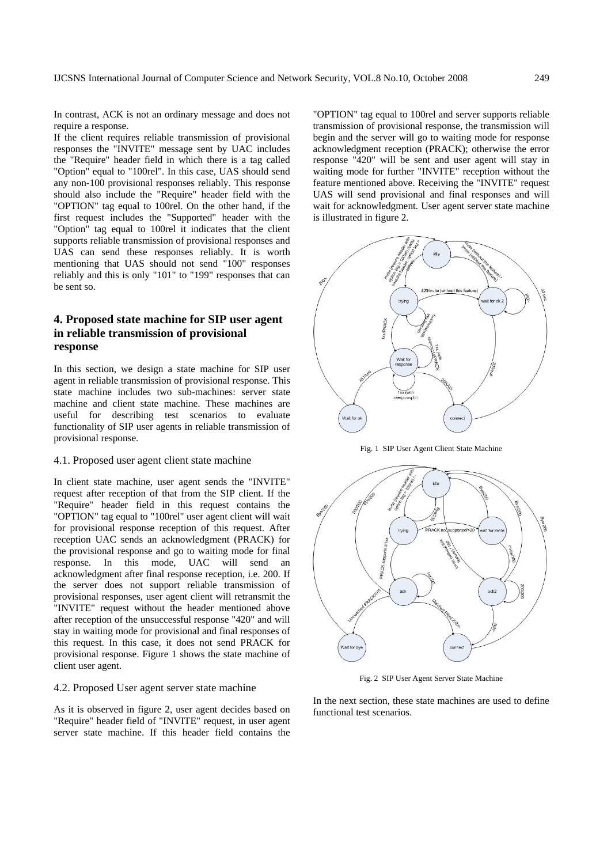In contrast, ACK is not an ordinary message and does not require a response.

If the client requires reliable transmission of provisional responses the "INVITE" message sent by UAC includes the "Require" header field in which there is a tag called "Option" equal to "100rel". In this case, UAS should send any non-100 provisional responses reliably. This response should also include the "Require" header field with the "OPTION" tag equal to 100rel. On the other hand, if the first request includes the "Supported" header with the "Option" tag equal to 100rel it indicates that the client supports reliable transmission of provisional responses and UAS can send these responses reliably. It is worth mentioning that UAS should not send "100" responses reliably and this is only "101" to "199" responses that can be sent so.

# **4. Proposed state machine for SIP user agent in reliable transmission of provisional response**

In this section, we design a state machine for SIP user agent in reliable transmission of provisional response. This state machine includes two sub-machines: server state machine and client state machine. These machines are useful for describing test scenarios to evaluate functionality of SIP user agents in reliable transmission of provisional response.

### 4.1. Proposed user agent client state machine

In client state machine, user agent sends the "INVITE" request after reception of that from the SIP client. If the "Require" header field in this request contains the "OPTION" tag equal to "100rel" user agent client will wait for provisional response reception of this request. After reception UAC sends an acknowledgment (PRACK) for the provisional response and go to waiting mode for final response. In this mode, UAC will send an acknowledgment after final response reception, i.e. 200. If the server does not support reliable transmission of provisional responses, user agent client will retransmit the "INVITE" request without the header mentioned above after reception of the unsuccessful response "420" and will stay in waiting mode for provisional and final responses of this request. In this case, it does not send PRACK for provisional response. Figure 1 shows the state machine of client user agent.

### 4.2. Proposed User agent server state machine

As it is observed in figure 2, user agent decides based on "Require" header field of "INVITE" request, in user agent server state machine. If this header field contains the

"OPTION" tag equal to 100rel and server supports reliable transmission of provisional response, the transmission will begin and the server will go to waiting mode for response acknowledgment reception (PRACK); otherwise the error response "420" will be sent and user agent will stay in waiting mode for further "INVITE" reception without the feature mentioned above. Receiving the "INVITE" request UAS will send provisional and final responses and will wait for acknowledgment. User agent server state machine is illustrated in figure 2.



Fig. 1 SIP User Agent Client State Machine



Fig. 2 SIP User Agent Server State Machine

In the next section, these state machines are used to define functional test scenarios.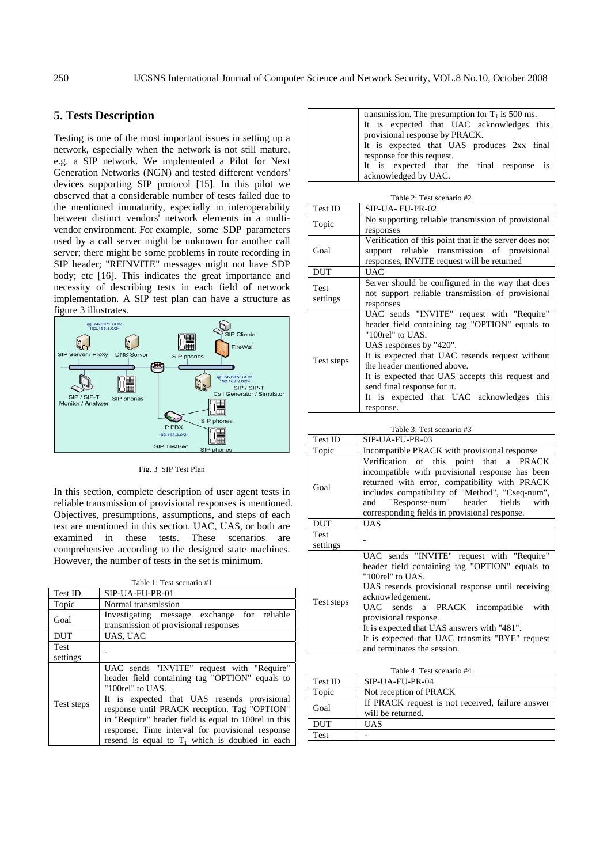# **5. Tests Description**

Testing is one of the most important issues in setting up a network, especially when the network is not still mature, e.g. a SIP network. We implemented a Pilot for Next Generation Networks (NGN) and tested different vendors' devices supporting SIP protocol [15]. In this pilot we observed that a considerable number of tests failed due to the mentioned immaturity, especially in interoperability between distinct vendors' network elements in a multivendor environment. For example, some SDP parameters used by a call server might be unknown for another call server; there might be some problems in route recording in SIP header; "REINVITE" messages might not have SDP body; etc [16]. This indicates the great importance and necessity of describing tests in each field of network implementation. A SIP test plan can have a structure as figure 3 illustrates.



Fig. 3 SIP Test Plan

In this section, complete description of user agent tests in reliable transmission of provisional responses is mentioned. Objectives, presumptions, assumptions, and steps of each test are mentioned in this section. UAC, UAS, or both are examined in these tests. These scenarios are comprehensive according to the designed state machines. However, the number of tests in the set is minimum.

| Table 1: Test scenario #1 |                                                      |  |  |
|---------------------------|------------------------------------------------------|--|--|
| Test ID                   | SIP-UA-FU-PR-01                                      |  |  |
| Topic                     | Normal transmission                                  |  |  |
|                           | Investigating message exchange for reliable          |  |  |
| Goal                      | transmission of provisional responses                |  |  |
| <b>DUT</b>                | UAS, UAC                                             |  |  |
| Test                      |                                                      |  |  |
| settings                  |                                                      |  |  |
|                           | UAC sends "INVITE" request with "Require"            |  |  |
|                           | header field containing tag "OPTION" equals to       |  |  |
| Test steps                | " $100$ rel" to UAS.                                 |  |  |
|                           | It is expected that UAS resends provisional          |  |  |
|                           | response until PRACK reception. Tag "OPTION"         |  |  |
|                           | in "Require" header field is equal to 100rel in this |  |  |
|                           | response. Time interval for provisional response     |  |  |
|                           | resend is equal to $T_1$ which is doubled in each    |  |  |

| transmission. The presumption for $T_1$ is 500 ms.                       |
|--------------------------------------------------------------------------|
|                                                                          |
| It is expected that UAC acknowledges this provisional response by PRACK. |
| It is expected that UAS produces 2xx final                               |
| response for this request.                                               |
| It is expected that the final response is                                |
| acknowledged by UAC.                                                     |

| <b>Test ID</b><br>SIP-UA-FU-PR-02<br>No supporting reliable transmission of provisional<br>Topic<br>responses<br>Verification of this point that if the server does not<br>support reliable transmission of provisional<br>Goal<br>responses, INVITE request will be returned<br><b>DUT</b><br><b>UAC</b><br>Server should be configured in the way that does<br><b>Test</b><br>not support reliable transmission of provisional<br>settings<br>responses<br>UAC sends "INVITE" request with "Require"<br>header field containing tag "OPTION" equals to<br>"100rel" to UAS. | Table 2: Test scenario #2 |  |  |  |
|------------------------------------------------------------------------------------------------------------------------------------------------------------------------------------------------------------------------------------------------------------------------------------------------------------------------------------------------------------------------------------------------------------------------------------------------------------------------------------------------------------------------------------------------------------------------------|---------------------------|--|--|--|
|                                                                                                                                                                                                                                                                                                                                                                                                                                                                                                                                                                              |                           |  |  |  |
|                                                                                                                                                                                                                                                                                                                                                                                                                                                                                                                                                                              |                           |  |  |  |
|                                                                                                                                                                                                                                                                                                                                                                                                                                                                                                                                                                              |                           |  |  |  |
|                                                                                                                                                                                                                                                                                                                                                                                                                                                                                                                                                                              |                           |  |  |  |
|                                                                                                                                                                                                                                                                                                                                                                                                                                                                                                                                                                              |                           |  |  |  |
|                                                                                                                                                                                                                                                                                                                                                                                                                                                                                                                                                                              |                           |  |  |  |
|                                                                                                                                                                                                                                                                                                                                                                                                                                                                                                                                                                              |                           |  |  |  |
|                                                                                                                                                                                                                                                                                                                                                                                                                                                                                                                                                                              |                           |  |  |  |
|                                                                                                                                                                                                                                                                                                                                                                                                                                                                                                                                                                              |                           |  |  |  |
|                                                                                                                                                                                                                                                                                                                                                                                                                                                                                                                                                                              |                           |  |  |  |
|                                                                                                                                                                                                                                                                                                                                                                                                                                                                                                                                                                              |                           |  |  |  |
|                                                                                                                                                                                                                                                                                                                                                                                                                                                                                                                                                                              |                           |  |  |  |
|                                                                                                                                                                                                                                                                                                                                                                                                                                                                                                                                                                              |                           |  |  |  |
| UAS responses by "420".                                                                                                                                                                                                                                                                                                                                                                                                                                                                                                                                                      |                           |  |  |  |
| It is expected that UAC resends request without                                                                                                                                                                                                                                                                                                                                                                                                                                                                                                                              | Test steps                |  |  |  |
| the header mentioned above.                                                                                                                                                                                                                                                                                                                                                                                                                                                                                                                                                  |                           |  |  |  |
| It is expected that UAS accepts this request and                                                                                                                                                                                                                                                                                                                                                                                                                                                                                                                             |                           |  |  |  |
| send final response for it.                                                                                                                                                                                                                                                                                                                                                                                                                                                                                                                                                  |                           |  |  |  |
| It is expected that UAC acknowledges<br>this                                                                                                                                                                                                                                                                                                                                                                                                                                                                                                                                 |                           |  |  |  |
| response.                                                                                                                                                                                                                                                                                                                                                                                                                                                                                                                                                                    |                           |  |  |  |

|  |  | Table 3: Test scenario #3 |  |
|--|--|---------------------------|--|
|  |  |                           |  |

| Test ID          | SIP-UA-FU-PR-03                                                                                                                                                                                                                                                                                                                                                                              |  |  |
|------------------|----------------------------------------------------------------------------------------------------------------------------------------------------------------------------------------------------------------------------------------------------------------------------------------------------------------------------------------------------------------------------------------------|--|--|
| Topic            | Incompatible PRACK with provisional response                                                                                                                                                                                                                                                                                                                                                 |  |  |
| Goal             | Verification of this point that a PRACK<br>incompatible with provisional response has been<br>returned with error, compatibility with PRACK<br>includes compatibility of "Method", "Cseq-num",<br>and "Response-num" header fields with<br>corresponding fields in provisional response.                                                                                                     |  |  |
| DUT              | <b>UAS</b>                                                                                                                                                                                                                                                                                                                                                                                   |  |  |
| Test<br>settings |                                                                                                                                                                                                                                                                                                                                                                                              |  |  |
| Test steps       | UAC sends "INVITE" request with "Require"<br>header field containing tag "OPTION" equals to<br>" $100$ rel" to UAS.<br>UAS resends provisional response until receiving<br>acknowledgement.<br>UAC sends a PRACK incompatible with<br>provisional response.<br>It is expected that UAS answers with "481".<br>It is expected that UAC transmits "BYE" request<br>and terminates the session. |  |  |

| Table 4: Test scenario #4 |                                                                       |  |  |
|---------------------------|-----------------------------------------------------------------------|--|--|
| Test ID                   | SIP-UA-FU-PR-04                                                       |  |  |
| Topic                     | Not reception of PRACK                                                |  |  |
| Goal                      | If PRACK request is not received, failure answer<br>will be returned. |  |  |
| <b>DUT</b>                | UAS                                                                   |  |  |
| Test                      |                                                                       |  |  |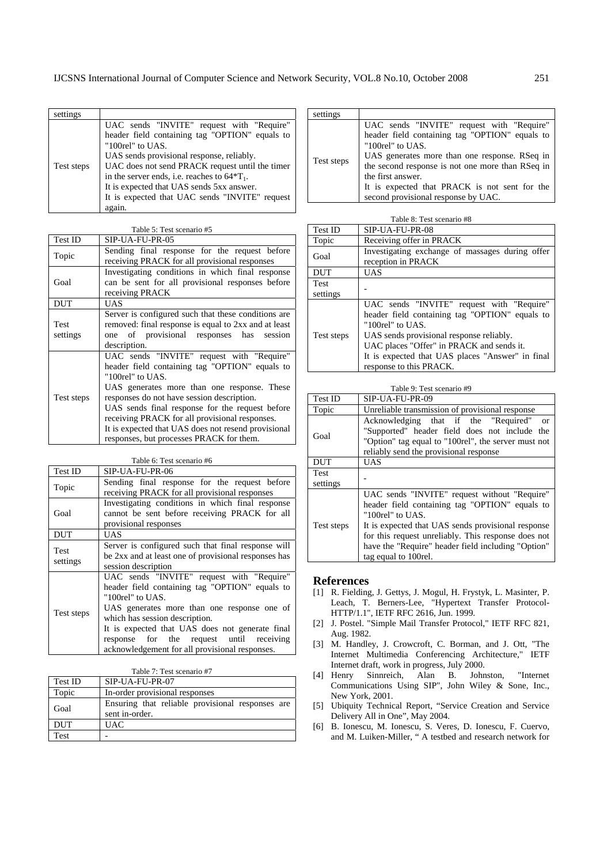| settings   |                                                                                                                                                                                                                                                                                                                                                                             |
|------------|-----------------------------------------------------------------------------------------------------------------------------------------------------------------------------------------------------------------------------------------------------------------------------------------------------------------------------------------------------------------------------|
| Test steps | UAC sends "INVITE" request with "Require"<br>header field containing tag "OPTION" equals to<br>"100rel" to UAS.<br>UAS sends provisional response, reliably.<br>UAC does not send PRACK request until the timer<br>in the server ends, i.e. reaches to $64^*T_1$ .<br>It is expected that UAS sends 5xx answer.<br>It is expected that UAC sends "INVITE" request<br>again. |

Table 5: Test scenario #5

| Test ID                 | SIP-UA-FU-PR-05                                                                                                                                                                                                                                                                                                                                                                                                          |
|-------------------------|--------------------------------------------------------------------------------------------------------------------------------------------------------------------------------------------------------------------------------------------------------------------------------------------------------------------------------------------------------------------------------------------------------------------------|
| Topic                   | Sending final response for the request before<br>receiving PRACK for all provisional responses                                                                                                                                                                                                                                                                                                                           |
| Goal                    | Investigating conditions in which final response<br>can be sent for all provisional responses before<br>receiving PRACK                                                                                                                                                                                                                                                                                                  |
| <b>DUT</b>              | <b>UAS</b>                                                                                                                                                                                                                                                                                                                                                                                                               |
| <b>Test</b><br>settings | Server is configured such that these conditions are.<br>removed: final response is equal to 2xx and at least<br>one of provisional responses has<br>session<br>description.                                                                                                                                                                                                                                              |
| Test steps              | UAC sends "INVITE" request with "Require"<br>header field containing tag "OPTION" equals to<br>" $100$ rel" to UAS.<br>UAS generates more than one response. These<br>responses do not have session description.<br>UAS sends final response for the request before<br>receiving PRACK for all provisional responses.<br>It is expected that UAS does not resend provisional<br>responses, but processes PRACK for them. |

Table 6: Test scenario #6

| Test ID                 | SIP-UA-FU-PR-06                                                                                                                                                                                                                                                                                                                                       |  |  |
|-------------------------|-------------------------------------------------------------------------------------------------------------------------------------------------------------------------------------------------------------------------------------------------------------------------------------------------------------------------------------------------------|--|--|
| Topic                   | Sending final response for the request before<br>receiving PRACK for all provisional responses                                                                                                                                                                                                                                                        |  |  |
| Goal                    | Investigating conditions in which final response<br>cannot be sent before receiving PRACK for all<br>provisional responses                                                                                                                                                                                                                            |  |  |
| <b>DUT</b>              | UAS                                                                                                                                                                                                                                                                                                                                                   |  |  |
| <b>Test</b><br>settings | Server is configured such that final response will<br>be 2xx and at least one of provisional responses has<br>session description                                                                                                                                                                                                                     |  |  |
| Test steps              | UAC sends "INVITE" request with "Require"<br>header field containing tag "OPTION" equals to<br>" $100$ rel" to UAS.<br>UAS generates more than one response one of<br>which has session description.<br>It is expected that UAS does not generate final<br>response for the request until receiving<br>acknowledgement for all provisional responses. |  |  |

Table 7: Test scenario #7

| Test ID    | SIP-UA-FU-PR-07                                                    |  |  |  |
|------------|--------------------------------------------------------------------|--|--|--|
| Topic      | In-order provisional responses                                     |  |  |  |
| Goal       | Ensuring that reliable provisional responses are<br>sent in-order. |  |  |  |
| <b>DUT</b> | <b>UAC</b>                                                         |  |  |  |
| Test       |                                                                    |  |  |  |

| settings   |                                                                                                                                                                                                                                                                                                                                   |
|------------|-----------------------------------------------------------------------------------------------------------------------------------------------------------------------------------------------------------------------------------------------------------------------------------------------------------------------------------|
| Test steps | UAC sends "INVITE" request with "Require"<br>header field containing tag "OPTION" equals to<br>"100rel" to UAS.<br>UAS generates more than one response. RSeq in<br>the second response is not one more than RSeq in<br>the first answer.<br>It is expected that PRACK is not sent for the<br>second provisional response by UAC. |

| Table 8: Test scenario #8 |  |
|---------------------------|--|
|---------------------------|--|

| <b>Test ID</b>     | SIP-UA-FU-PR-08                                                       |
|--------------------|-----------------------------------------------------------------------|
| Topic              | Receiving offer in PRACK                                              |
| Goal<br><b>DUT</b> | Investigating exchange of massages during offer<br>reception in PRACK |
|                    | <b>UAS</b>                                                            |
| Test               |                                                                       |
|                    |                                                                       |
| settings           |                                                                       |
| Test steps         | UAC sends "INVITE" request with "Require"                             |
|                    | header field containing tag "OPTION" equals to                        |
|                    | "100rel" to UAS.                                                      |
|                    | UAS sends provisional response reliably.                              |
|                    | UAC places "Offer" in PRACK and sends it.                             |
|                    | It is expected that UAS places "Answer" in final                      |
|                    | response to this PRACK.                                               |

| Table 9: Test scenario #9 |                                                                                                                                                                                                                                                                                                               |
|---------------------------|---------------------------------------------------------------------------------------------------------------------------------------------------------------------------------------------------------------------------------------------------------------------------------------------------------------|
| Test ID                   | SIP-UA-FU-PR-09                                                                                                                                                                                                                                                                                               |
| Topic                     | Unreliable transmission of provisional response                                                                                                                                                                                                                                                               |
| Goal                      | Acknowledging that if the "Required"<br>$\alpha$<br>"Supported" header field does not include the<br>"Option" tag equal to "100rel", the server must not<br>reliably send the provisional response                                                                                                            |
| <b>DUT</b>                | <b>UAS</b>                                                                                                                                                                                                                                                                                                    |
| <b>Test</b><br>settings   |                                                                                                                                                                                                                                                                                                               |
| Test steps                | UAC sends "INVITE" request without "Require"<br>header field containing tag "OPTION" equals to<br>"100rel" to UAS.<br>It is expected that UAS sends provisional response<br>for this request unreliably. This response does not<br>have the "Require" header field including "Option"<br>tag equal to 100rel. |

### **References**

- [1] R. Fielding, J. Gettys, J. Mogul, H. Frystyk, L. Masinter, P. Leach, T. Berners-Lee, "Hypertext Transfer Protocol-HTTP/1.1", IETF RFC 2616, Jun. 1999.
- [2] J. Postel. "Simple Mail Transfer Protocol," IETF RFC 821, Aug. 1982.
- [3] M. Handley, J. Crowcroft, C. Borman, and J. Ott, "The Internet Multimedia Conferencing Architecture," IETF Internet draft, work in progress, July 2000.
- [4] Henry Sinnreich, Alan B. Johnston, "Internet Communications Using SIP", John Wiley & Sone, Inc., New York, 2001.
- [5] Ubiquity Technical Report, "Service Creation and Service Delivery All in One", May 2004.
- [6] B. Ionescu, M. Ionescu, S. Veres, D. Ionescu, F. Cuervo, and M. Luiken-Miller, " A testbed and research network for